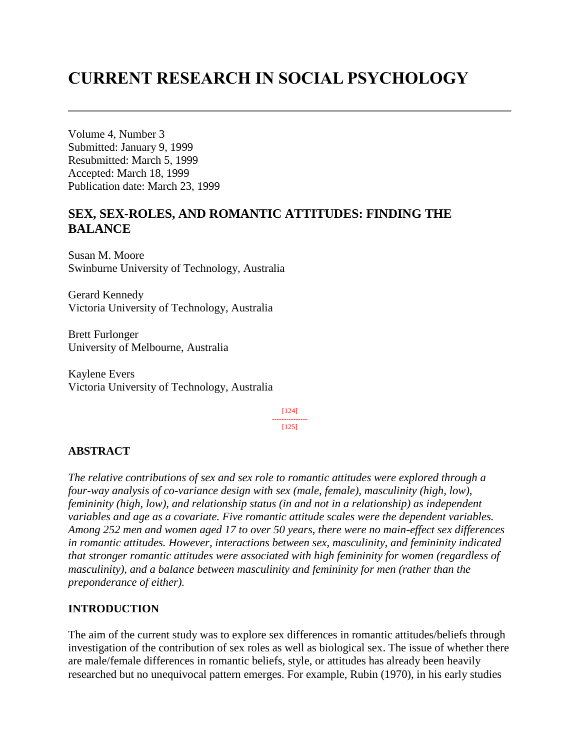# **CURRENT RESEARCH IN SOCIAL PSYCHOLOGY**

Volume 4, Number 3 Submitted: January 9, 1999 Resubmitted: March 5, 1999 Accepted: March 18, 1999 Publication date: March 23, 1999

# **SEX, SEX-ROLES, AND ROMANTIC ATTITUDES: FINDING THE BALANCE**

Susan M. Moore Swinburne University of Technology, Australia

Gerard Kennedy Victoria University of Technology, Australia

Brett Furlonger University of Melbourne, Australia

Kaylene Evers Victoria University of Technology, Australia

> [124] --------------- [125]

## **ABSTRACT**

*The relative contributions of sex and sex role to romantic attitudes were explored through a four-way analysis of co-variance design with sex (male, female), masculinity (high, low), femininity (high, low), and relationship status (in and not in a relationship) as independent variables and age as a covariate. Five romantic attitude scales were the dependent variables. Among 252 men and women aged 17 to over 50 years, there were no main-effect sex differences in romantic attitudes. However, interactions between sex, masculinity, and femininity indicated that stronger romantic attitudes were associated with high femininity for women (regardless of masculinity), and a balance between masculinity and femininity for men (rather than the preponderance of either).*

## **INTRODUCTION**

The aim of the current study was to explore sex differences in romantic attitudes/beliefs through investigation of the contribution of sex roles as well as biological sex. The issue of whether there are male/female differences in romantic beliefs, style, or attitudes has already been heavily researched but no unequivocal pattern emerges. For example, Rubin (1970), in his early studies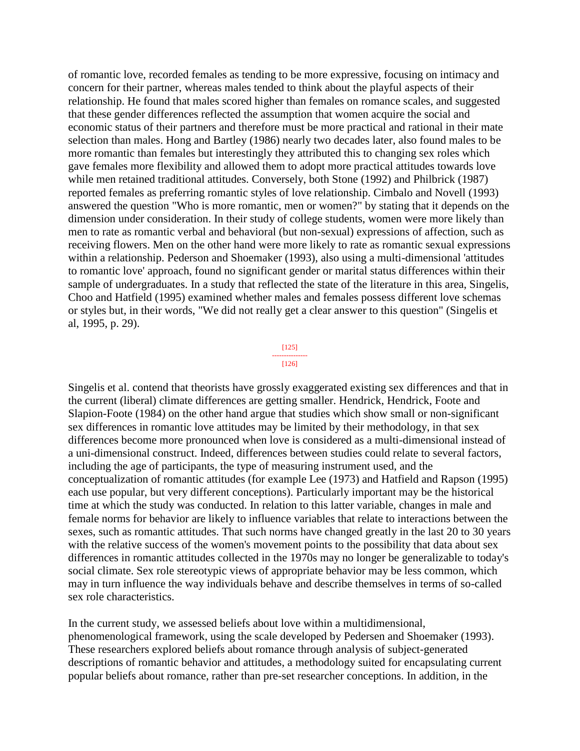of romantic love, recorded females as tending to be more expressive, focusing on intimacy and concern for their partner, whereas males tended to think about the playful aspects of their relationship. He found that males scored higher than females on romance scales, and suggested that these gender differences reflected the assumption that women acquire the social and economic status of their partners and therefore must be more practical and rational in their mate selection than males. Hong and Bartley (1986) nearly two decades later, also found males to be more romantic than females but interestingly they attributed this to changing sex roles which gave females more flexibility and allowed them to adopt more practical attitudes towards love while men retained traditional attitudes. Conversely, both Stone (1992) and Philbrick (1987) reported females as preferring romantic styles of love relationship. Cimbalo and Novell (1993) answered the question "Who is more romantic, men or women?" by stating that it depends on the dimension under consideration. In their study of college students, women were more likely than men to rate as romantic verbal and behavioral (but non-sexual) expressions of affection, such as receiving flowers. Men on the other hand were more likely to rate as romantic sexual expressions within a relationship. Pederson and Shoemaker (1993), also using a multi-dimensional 'attitudes to romantic love' approach, found no significant gender or marital status differences within their sample of undergraduates. In a study that reflected the state of the literature in this area, Singelis, Choo and Hatfield (1995) examined whether males and females possess different love schemas or styles but, in their words, "We did not really get a clear answer to this question" (Singelis et al, 1995, p. 29).

> [125] --------------- [126]

Singelis et al. contend that theorists have grossly exaggerated existing sex differences and that in the current (liberal) climate differences are getting smaller. Hendrick, Hendrick, Foote and Slapion-Foote (1984) on the other hand argue that studies which show small or non-significant sex differences in romantic love attitudes may be limited by their methodology, in that sex differences become more pronounced when love is considered as a multi-dimensional instead of a uni-dimensional construct. Indeed, differences between studies could relate to several factors, including the age of participants, the type of measuring instrument used, and the conceptualization of romantic attitudes (for example Lee (1973) and Hatfield and Rapson (1995) each use popular, but very different conceptions). Particularly important may be the historical time at which the study was conducted. In relation to this latter variable, changes in male and female norms for behavior are likely to influence variables that relate to interactions between the sexes, such as romantic attitudes. That such norms have changed greatly in the last 20 to 30 years with the relative success of the women's movement points to the possibility that data about sex differences in romantic attitudes collected in the 1970s may no longer be generalizable to today's social climate. Sex role stereotypic views of appropriate behavior may be less common, which may in turn influence the way individuals behave and describe themselves in terms of so-called sex role characteristics.

In the current study, we assessed beliefs about love within a multidimensional, phenomenological framework, using the scale developed by Pedersen and Shoemaker (1993). These researchers explored beliefs about romance through analysis of subject-generated descriptions of romantic behavior and attitudes, a methodology suited for encapsulating current popular beliefs about romance, rather than pre-set researcher conceptions. In addition, in the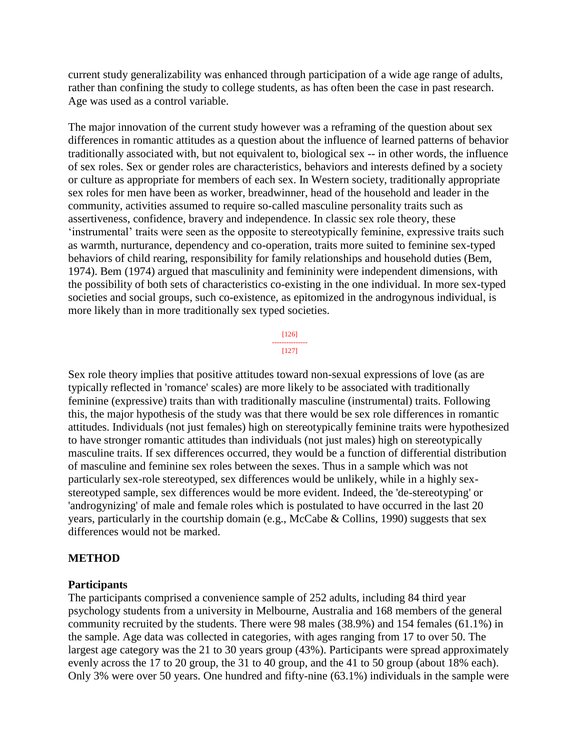current study generalizability was enhanced through participation of a wide age range of adults, rather than confining the study to college students, as has often been the case in past research. Age was used as a control variable.

The major innovation of the current study however was a reframing of the question about sex differences in romantic attitudes as a question about the influence of learned patterns of behavior traditionally associated with, but not equivalent to, biological sex -- in other words, the influence of sex roles. Sex or gender roles are characteristics, behaviors and interests defined by a society or culture as appropriate for members of each sex. In Western society, traditionally appropriate sex roles for men have been as worker, breadwinner, head of the household and leader in the community, activities assumed to require so-called masculine personality traits such as assertiveness, confidence, bravery and independence. In classic sex role theory, these 'instrumental' traits were seen as the opposite to stereotypically feminine, expressive traits such as warmth, nurturance, dependency and co-operation, traits more suited to feminine sex-typed behaviors of child rearing, responsibility for family relationships and household duties (Bem, 1974). Bem (1974) argued that masculinity and femininity were independent dimensions, with the possibility of both sets of characteristics co-existing in the one individual. In more sex-typed societies and social groups, such co-existence, as epitomized in the androgynous individual, is more likely than in more traditionally sex typed societies.

> [126] --------------- [127]

Sex role theory implies that positive attitudes toward non-sexual expressions of love (as are typically reflected in 'romance' scales) are more likely to be associated with traditionally feminine (expressive) traits than with traditionally masculine (instrumental) traits. Following this, the major hypothesis of the study was that there would be sex role differences in romantic attitudes. Individuals (not just females) high on stereotypically feminine traits were hypothesized to have stronger romantic attitudes than individuals (not just males) high on stereotypically masculine traits. If sex differences occurred, they would be a function of differential distribution of masculine and feminine sex roles between the sexes. Thus in a sample which was not particularly sex-role stereotyped, sex differences would be unlikely, while in a highly sexstereotyped sample, sex differences would be more evident. Indeed, the 'de-stereotyping' or 'androgynizing' of male and female roles which is postulated to have occurred in the last 20 years, particularly in the courtship domain (e.g., McCabe & Collins, 1990) suggests that sex differences would not be marked.

#### **METHOD**

#### **Participants**

The participants comprised a convenience sample of 252 adults, including 84 third year psychology students from a university in Melbourne, Australia and 168 members of the general community recruited by the students. There were 98 males (38.9%) and 154 females (61.1%) in the sample. Age data was collected in categories, with ages ranging from 17 to over 50. The largest age category was the 21 to 30 years group (43%). Participants were spread approximately evenly across the 17 to 20 group, the 31 to 40 group, and the 41 to 50 group (about 18% each). Only 3% were over 50 years. One hundred and fifty-nine (63.1%) individuals in the sample were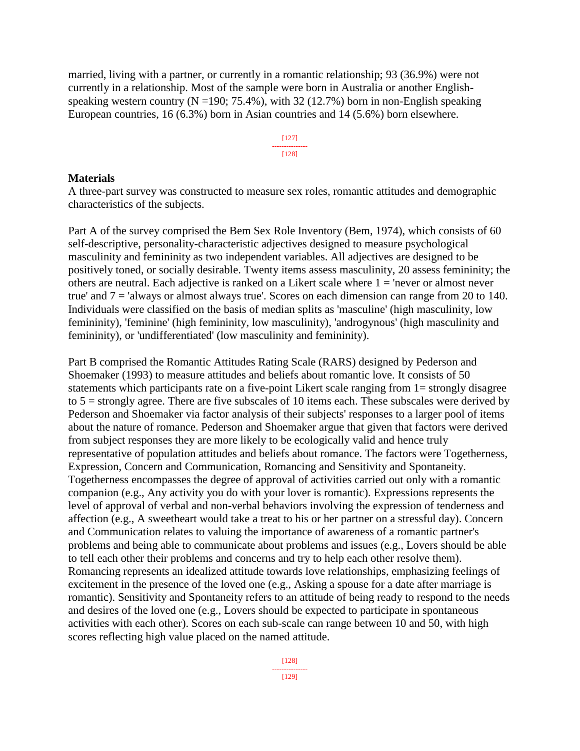married, living with a partner, or currently in a romantic relationship; 93 (36.9%) were not currently in a relationship. Most of the sample were born in Australia or another Englishspeaking western country ( $N = 190$ ; 75.4%), with 32 (12.7%) born in non-English speaking European countries, 16 (6.3%) born in Asian countries and 14 (5.6%) born elsewhere.

> [127] --------------- [128]

#### **Materials**

A three-part survey was constructed to measure sex roles, romantic attitudes and demographic characteristics of the subjects.

Part A of the survey comprised the Bem Sex Role Inventory (Bem, 1974), which consists of 60 self-descriptive, personality-characteristic adjectives designed to measure psychological masculinity and femininity as two independent variables. All adjectives are designed to be positively toned, or socially desirable. Twenty items assess masculinity, 20 assess femininity; the others are neutral. Each adjective is ranked on a Likert scale where  $1 =$  'never or almost never true' and 7 = 'always or almost always true'. Scores on each dimension can range from 20 to 140. Individuals were classified on the basis of median splits as 'masculine' (high masculinity, low femininity), 'feminine' (high femininity, low masculinity), 'androgynous' (high masculinity and femininity), or 'undifferentiated' (low masculinity and femininity).

Part B comprised the Romantic Attitudes Rating Scale (RARS) designed by Pederson and Shoemaker (1993) to measure attitudes and beliefs about romantic love. It consists of 50 statements which participants rate on a five-point Likert scale ranging from 1= strongly disagree to  $5 =$  strongly agree. There are five subscales of 10 items each. These subscales were derived by Pederson and Shoemaker via factor analysis of their subjects' responses to a larger pool of items about the nature of romance. Pederson and Shoemaker argue that given that factors were derived from subject responses they are more likely to be ecologically valid and hence truly representative of population attitudes and beliefs about romance. The factors were Togetherness, Expression, Concern and Communication, Romancing and Sensitivity and Spontaneity. Togetherness encompasses the degree of approval of activities carried out only with a romantic companion (e.g., Any activity you do with your lover is romantic). Expressions represents the level of approval of verbal and non-verbal behaviors involving the expression of tenderness and affection (e.g., A sweetheart would take a treat to his or her partner on a stressful day). Concern and Communication relates to valuing the importance of awareness of a romantic partner's problems and being able to communicate about problems and issues (e.g., Lovers should be able to tell each other their problems and concerns and try to help each other resolve them). Romancing represents an idealized attitude towards love relationships, emphasizing feelings of excitement in the presence of the loved one (e.g., Asking a spouse for a date after marriage is romantic). Sensitivity and Spontaneity refers to an attitude of being ready to respond to the needs and desires of the loved one (e.g., Lovers should be expected to participate in spontaneous activities with each other). Scores on each sub-scale can range between 10 and 50, with high scores reflecting high value placed on the named attitude.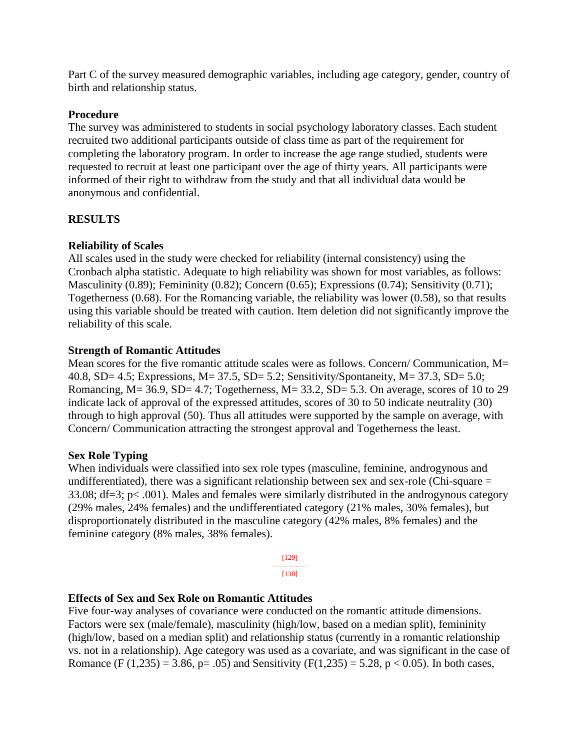Part C of the survey measured demographic variables, including age category, gender, country of birth and relationship status.

# **Procedure**

The survey was administered to students in social psychology laboratory classes. Each student recruited two additional participants outside of class time as part of the requirement for completing the laboratory program. In order to increase the age range studied, students were requested to recruit at least one participant over the age of thirty years. All participants were informed of their right to withdraw from the study and that all individual data would be anonymous and confidential.

# **RESULTS**

# **Reliability of Scales**

All scales used in the study were checked for reliability (internal consistency) using the Cronbach alpha statistic. Adequate to high reliability was shown for most variables, as follows: Masculinity (0.89); Femininity (0.82); Concern (0.65); Expressions (0.74); Sensitivity (0.71); Togetherness (0.68). For the Romancing variable, the reliability was lower (0.58), so that results using this variable should be treated with caution. Item deletion did not significantly improve the reliability of this scale.

# **Strength of Romantic Attitudes**

Mean scores for the five romantic attitude scales were as follows. Concern/ Communication, M= 40.8, SD= 4.5; Expressions, M= 37.5, SD= 5.2; Sensitivity/Spontaneity, M= 37.3, SD= 5.0; Romancing,  $M = 36.9$ ,  $SD = 4.7$ ; Togetherness,  $M = 33.2$ ,  $SD = 5.3$ . On average, scores of 10 to 29 indicate lack of approval of the expressed attitudes, scores of 30 to 50 indicate neutrality (30) through to high approval (50). Thus all attitudes were supported by the sample on average, with Concern/ Communication attracting the strongest approval and Togetherness the least.

## **Sex Role Typing**

When individuals were classified into sex role types (masculine, feminine, androgynous and undifferentiated), there was a significant relationship between sex and sex-role (Chi-square = 33.08; df=3; p< .001). Males and females were similarly distributed in the androgynous category (29% males, 24% females) and the undifferentiated category (21% males, 30% females), but disproportionately distributed in the masculine category (42% males, 8% females) and the feminine category (8% males, 38% females).

> [129] --------------- [130]

# **Effects of Sex and Sex Role on Romantic Attitudes**

Five four-way analyses of covariance were conducted on the romantic attitude dimensions. Factors were sex (male/female), masculinity (high/low, based on a median split), femininity (high/low, based on a median split) and relationship status (currently in a romantic relationship vs. not in a relationship). Age category was used as a covariate, and was significant in the case of Romance (F (1,235) = 3.86, p= .05) and Sensitivity (F(1,235) = 5.28, p < 0.05). In both cases,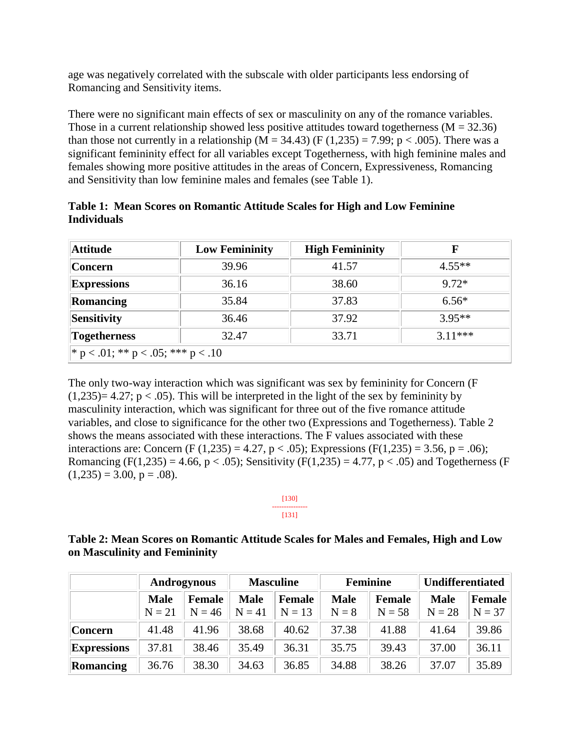age was negatively correlated with the subscale with older participants less endorsing of Romancing and Sensitivity items.

There were no significant main effects of sex or masculinity on any of the romance variables. Those in a current relationship showed less positive attitudes toward togetherness ( $M = 32.36$ ) than those not currently in a relationship ( $M = 34.43$ ) ( $F(1,235) = 7.99$ ;  $p < .005$ ). There was a significant femininity effect for all variables except Togetherness, with high feminine males and females showing more positive attitudes in the areas of Concern, Expressiveness, Romancing and Sensitivity than low feminine males and females (see Table 1).

| Attitude                             | <b>Low Femininity</b> | <b>High Femininity</b> | F         |  |  |  |
|--------------------------------------|-----------------------|------------------------|-----------|--|--|--|
| <b>Concern</b>                       | 39.96                 | 41.57                  | $4.55**$  |  |  |  |
| <b>Expressions</b>                   | 36.16                 | 38.60                  | $9.72*$   |  |  |  |
| Romancing                            | 35.84                 | 37.83                  | $6.56*$   |  |  |  |
| Sensitivity                          | 36.46                 | 37.92                  | $3.95**$  |  |  |  |
| <b>Togetherness</b>                  | 32.47                 | 33.71                  | $3.11***$ |  |  |  |
| $*$ p < .01; ** p < .05; *** p < .10 |                       |                        |           |  |  |  |

**Table 1: Mean Scores on Romantic Attitude Scales for High and Low Feminine Individuals**

The only two-way interaction which was significant was sex by femininity for Concern (F  $(1,235)=4.27$ ; p < .05). This will be interpreted in the light of the sex by femininity by masculinity interaction, which was significant for three out of the five romance attitude variables, and close to significance for the other two (Expressions and Togetherness). Table 2 shows the means associated with these interactions. The F values associated with these interactions are: Concern (F (1,235) = 4.27, p < .05); Expressions (F(1,235) = 3.56, p = .06); Romancing (F(1,235) = 4.66, p < .05); Sensitivity (F(1,235) = 4.77, p < .05) and Togetherness (F  $(1,235) = 3.00, p = .08$ .

> [130] --------------- [131]

# **Table 2: Mean Scores on Romantic Attitude Scales for Males and Females, High and Low on Masculinity and Femininity**

|                    | Androgynous |          | <b>Masculine</b> |          | <b>Feminine</b> |               | Undifferentiated |          |
|--------------------|-------------|----------|------------------|----------|-----------------|---------------|------------------|----------|
|                    | <b>Male</b> | Female   | <b>Male</b>      | Female   | <b>Male</b>     | <b>Female</b> | <b>Male</b>      | Female   |
|                    | $N = 21$    | $N = 46$ | $N = 41$         | $N = 13$ | $N = 8$         | $N = 58$      | $N = 28$         | $N = 37$ |
| <b>Concern</b>     | 41.48       | 41.96    | 38.68            | 40.62    | 37.38           | 41.88         | 41.64            | 39.86    |
| <b>Expressions</b> | 37.81       | 38.46    | 35.49            | 36.31    | 35.75           | 39.43         | 37.00            | 36.11    |
| Romancing          | 36.76       | 38.30    | 34.63            | 36.85    | 34.88           | 38.26         | 37.07            | 35.89    |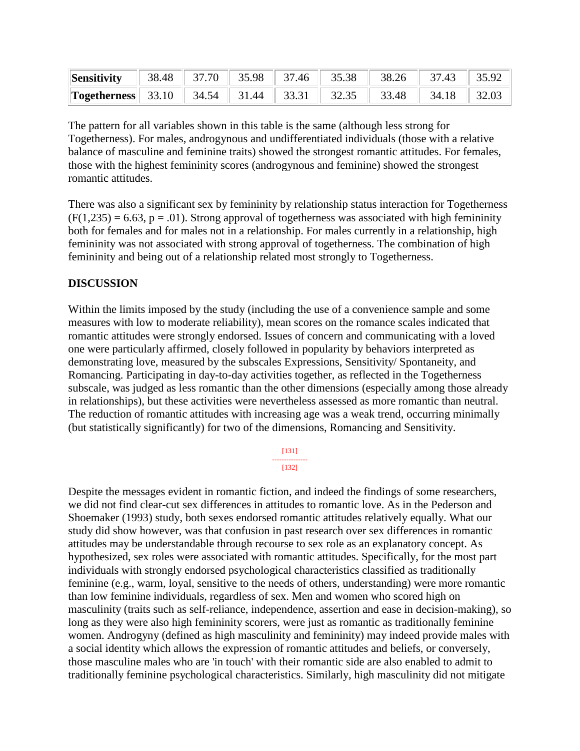| <b>Sensitivity</b>   38.48   37.70   35.98   37.46   35.38   38.26   37.43   35.92 |  |  |  |  |
|------------------------------------------------------------------------------------|--|--|--|--|
| <b>Togetherness</b> 33.10 34.54 31.44 33.31 32.35 33.48 34.18 32.03                |  |  |  |  |

The pattern for all variables shown in this table is the same (although less strong for Togetherness). For males, androgynous and undifferentiated individuals (those with a relative balance of masculine and feminine traits) showed the strongest romantic attitudes. For females, those with the highest femininity scores (androgynous and feminine) showed the strongest romantic attitudes.

There was also a significant sex by femininity by relationship status interaction for Togetherness  $(F(1,235) = 6.63, p = .01)$ . Strong approval of togetherness was associated with high femininity both for females and for males not in a relationship. For males currently in a relationship, high femininity was not associated with strong approval of togetherness. The combination of high femininity and being out of a relationship related most strongly to Togetherness.

# **DISCUSSION**

Within the limits imposed by the study (including the use of a convenience sample and some measures with low to moderate reliability), mean scores on the romance scales indicated that romantic attitudes were strongly endorsed. Issues of concern and communicating with a loved one were particularly affirmed, closely followed in popularity by behaviors interpreted as demonstrating love, measured by the subscales Expressions, Sensitivity/ Spontaneity, and Romancing. Participating in day-to-day activities together, as reflected in the Togetherness subscale, was judged as less romantic than the other dimensions (especially among those already in relationships), but these activities were nevertheless assessed as more romantic than neutral. The reduction of romantic attitudes with increasing age was a weak trend, occurring minimally (but statistically significantly) for two of the dimensions, Romancing and Sensitivity.

> [131] --------------- [132]

Despite the messages evident in romantic fiction, and indeed the findings of some researchers, we did not find clear-cut sex differences in attitudes to romantic love. As in the Pederson and Shoemaker (1993) study, both sexes endorsed romantic attitudes relatively equally. What our study did show however, was that confusion in past research over sex differences in romantic attitudes may be understandable through recourse to sex role as an explanatory concept. As hypothesized, sex roles were associated with romantic attitudes. Specifically, for the most part individuals with strongly endorsed psychological characteristics classified as traditionally feminine (e.g., warm, loyal, sensitive to the needs of others, understanding) were more romantic than low feminine individuals, regardless of sex. Men and women who scored high on masculinity (traits such as self-reliance, independence, assertion and ease in decision-making), so long as they were also high femininity scorers, were just as romantic as traditionally feminine women. Androgyny (defined as high masculinity and femininity) may indeed provide males with a social identity which allows the expression of romantic attitudes and beliefs, or conversely, those masculine males who are 'in touch' with their romantic side are also enabled to admit to traditionally feminine psychological characteristics. Similarly, high masculinity did not mitigate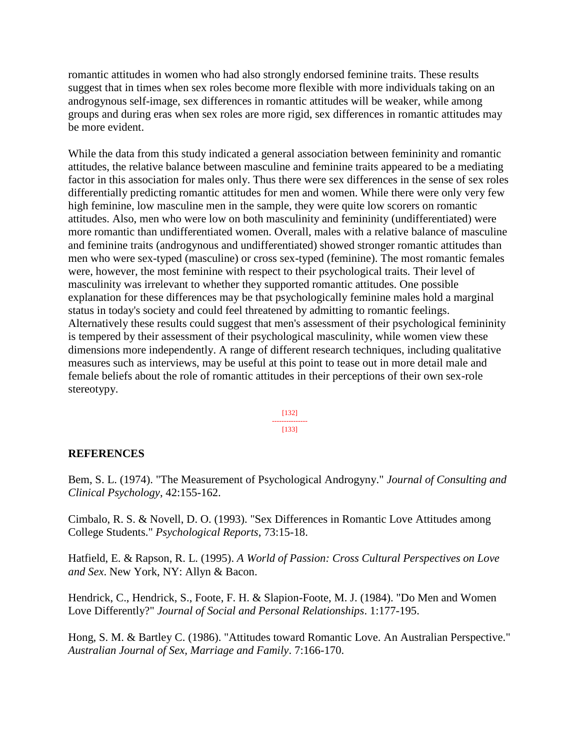romantic attitudes in women who had also strongly endorsed feminine traits. These results suggest that in times when sex roles become more flexible with more individuals taking on an androgynous self-image, sex differences in romantic attitudes will be weaker, while among groups and during eras when sex roles are more rigid, sex differences in romantic attitudes may be more evident.

While the data from this study indicated a general association between femininity and romantic attitudes, the relative balance between masculine and feminine traits appeared to be a mediating factor in this association for males only. Thus there were sex differences in the sense of sex roles differentially predicting romantic attitudes for men and women. While there were only very few high feminine, low masculine men in the sample, they were quite low scorers on romantic attitudes. Also, men who were low on both masculinity and femininity (undifferentiated) were more romantic than undifferentiated women. Overall, males with a relative balance of masculine and feminine traits (androgynous and undifferentiated) showed stronger romantic attitudes than men who were sex-typed (masculine) or cross sex-typed (feminine). The most romantic females were, however, the most feminine with respect to their psychological traits. Their level of masculinity was irrelevant to whether they supported romantic attitudes. One possible explanation for these differences may be that psychologically feminine males hold a marginal status in today's society and could feel threatened by admitting to romantic feelings. Alternatively these results could suggest that men's assessment of their psychological femininity is tempered by their assessment of their psychological masculinity, while women view these dimensions more independently. A range of different research techniques, including qualitative measures such as interviews, may be useful at this point to tease out in more detail male and female beliefs about the role of romantic attitudes in their perceptions of their own sex-role stereotypy.

> [132] --------------- [133]

## **REFERENCES**

Bem, S. L. (1974). "The Measurement of Psychological Androgyny." *Journal of Consulting and Clinical Psychology*, 42:155-162.

Cimbalo, R. S. & Novell, D. O. (1993). "Sex Differences in Romantic Love Attitudes among College Students." *Psychological Reports*, 73:15-18.

Hatfield, E. & Rapson, R. L. (1995). *A World of Passion: Cross Cultural Perspectives on Love and Sex*. New York, NY: Allyn & Bacon.

Hendrick, C., Hendrick, S., Foote, F. H. & Slapion-Foote, M. J. (1984). "Do Men and Women Love Differently?" *Journal of Social and Personal Relationships*. 1:177-195.

Hong, S. M. & Bartley C. (1986). "Attitudes toward Romantic Love. An Australian Perspective." *Australian Journal of Sex, Marriage and Family*. 7:166-170.